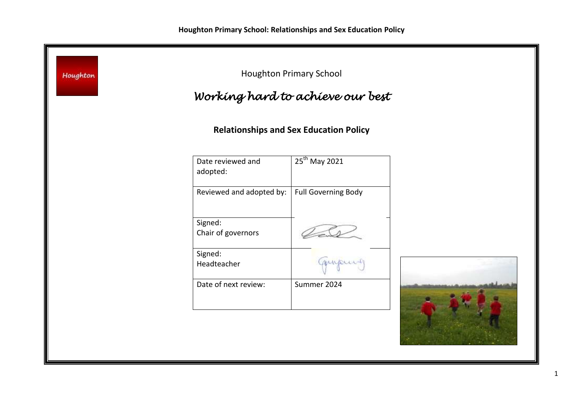| Houghton | Working hard to achieve our best | <b>Houghton Primary School</b>                |  |
|----------|----------------------------------|-----------------------------------------------|--|
|          |                                  | <b>Relationships and Sex Education Policy</b> |  |
|          | Date reviewed and<br>adopted:    | 25 <sup>th</sup> May 2021                     |  |
|          | Reviewed and adopted by:         | <b>Full Governing Body</b>                    |  |
|          | Signed:<br>Chair of governors    |                                               |  |
|          | Signed:<br>Headteacher           | munders                                       |  |
|          | Date of next review:             | Summer 2024                                   |  |
|          |                                  |                                               |  |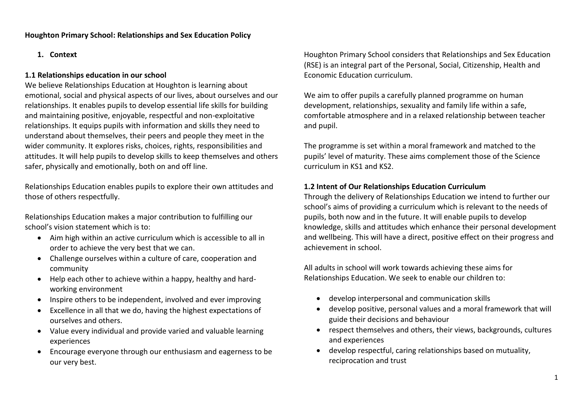# **1. Context**

# **1.1 Relationships education in our school**

We believe Relationships Education at Houghton is learning about emotional, social and physical aspects of our lives, about ourselves and our relationships. It enables pupils to develop essential life skills for building and maintaining positive, enjoyable, respectful and non-exploitative relationships. It equips pupils with information and skills they need to understand about themselves, their peers and people they meet in the wider community. It explores risks, choices, rights, responsibilities and attitudes. It will help pupils to develop skills to keep themselves and others safer, physically and emotionally, both on and off line.

Relationships Education enables pupils to explore their own attitudes and those of others respectfully.

Relationships Education makes a major contribution to fulfilling our school's vision statement which is to:

- Aim high within an active curriculum which is accessible to all in order to achieve the very best that we can.
- Challenge ourselves within a culture of care, cooperation and community
- Help each other to achieve within a happy, healthy and hardworking environment
- Inspire others to be independent, involved and ever improving
- Excellence in all that we do, having the highest expectations of ourselves and others.
- Value every individual and provide varied and valuable learning experiences
- Encourage everyone through our enthusiasm and eagerness to be our very best.

Houghton Primary School considers that Relationships and Sex Education (RSE) is an integral part of the Personal, Social, Citizenship, Health and Economic Education curriculum.

We aim to offer pupils a carefully planned programme on human development, relationships, sexuality and family life within a safe, comfortable atmosphere and in a relaxed relationship between teacher and pupil.

The programme is set within a moral framework and matched to the pupils' level of maturity. These aims complement those of the Science curriculum in KS1 and KS2.

# **1.2 Intent of Our Relationships Education Curriculum**

Through the delivery of Relationships Education we intend to further our school's aims of providing a curriculum which is relevant to the needs of pupils, both now and in the future. It will enable pupils to develop knowledge, skills and attitudes which enhance their personal development and wellbeing. This will have a direct, positive effect on their progress and achievement in school.

All adults in school will work towards achieving these aims for Relationships Education. We seek to enable our children to:

- develop interpersonal and communication skills
- develop positive, personal values and a moral framework that will guide their decisions and behaviour
- respect themselves and others, their views, backgrounds, cultures and experiences
- develop respectful, caring relationships based on mutuality, reciprocation and trust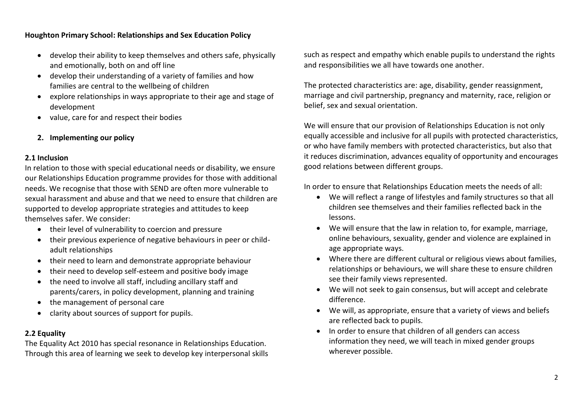- develop their ability to keep themselves and others safe, physically and emotionally, both on and off line
- develop their understanding of a variety of families and how families are central to the wellbeing of children
- explore relationships in ways appropriate to their age and stage of development
- value, care for and respect their bodies
- **2. Implementing our policy**

### **2.1 Inclusion**

In relation to those with special educational needs or disability, we ensure our Relationships Education programme provides for those with additional needs. We recognise that those with SEND are often more vulnerable to sexual harassment and abuse and that we need to ensure that children are supported to develop appropriate strategies and attitudes to keep themselves safer. We consider:

- their level of vulnerability to coercion and pressure
- their previous experience of negative behaviours in peer or childadult relationships
- their need to learn and demonstrate appropriate behaviour
- their need to develop self-esteem and positive body image
- the need to involve all staff, including ancillary staff and parents/carers, in policy development, planning and training
- the management of personal care
- clarity about sources of support for pupils.

# **2.2 Equality**

The Equality Act 2010 has special resonance in Relationships Education. Through this area of learning we seek to develop key interpersonal skills such as respect and empathy which enable pupils to understand the rights and responsibilities we all have towards one another.

The protected characteristics are: age, disability, gender reassignment, marriage and civil partnership, pregnancy and maternity, race, religion or belief, sex and sexual orientation.

We will ensure that our provision of Relationships Education is not only equally accessible and inclusive for all pupils with protected characteristics, or who have family members with protected characteristics, but also that it reduces discrimination, advances equality of opportunity and encourages good relations between different groups.

In order to ensure that Relationships Education meets the needs of all:

- We will reflect a range of lifestyles and family structures so that all children see themselves and their families reflected back in the lessons.
- We will ensure that the law in relation to, for example, marriage, online behaviours, sexuality, gender and violence are explained in age appropriate ways.
- Where there are different cultural or religious views about families, relationships or behaviours, we will share these to ensure children see their family views represented.
- We will not seek to gain consensus, but will accept and celebrate difference.
- We will, as appropriate, ensure that a variety of views and beliefs are reflected back to pupils.
- In order to ensure that children of all genders can access information they need, we will teach in mixed gender groups wherever possible.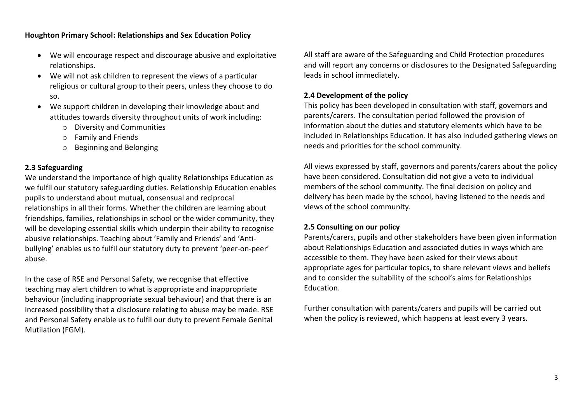- We will encourage respect and discourage abusive and exploitative relationships.
- We will not ask children to represent the views of a particular religious or cultural group to their peers, unless they choose to do so.
- We support children in developing their knowledge about and attitudes towards diversity throughout units of work including:
	- o Diversity and Communities
	- o Family and Friends
	- o Beginning and Belonging

# **2.3 Safeguarding**

We understand the importance of high quality Relationships Education as we fulfil our statutory safeguarding duties. Relationship Education enables pupils to understand about mutual, consensual and reciprocal relationships in all their forms. Whether the children are learning about friendships, families, relationships in school or the wider community, they will be developing essential skills which underpin their ability to recognise abusive relationships. Teaching about 'Family and Friends' and 'Antibullying' enables us to fulfil our statutory duty to prevent 'peer-on-peer' abuse.

In the case of RSE and Personal Safety, we recognise that effective teaching may alert children to what is appropriate and inappropriate behaviour (including inappropriate sexual behaviour) and that there is an increased possibility that a disclosure relating to abuse may be made. RSE and Personal Safety enable us to fulfil our duty to prevent Female Genital Mutilation (FGM).

All staff are aware of the Safeguarding and Child Protection procedures and will report any concerns or disclosures to the Designated Safeguarding leads in school immediately.

## **2.4 Development of the policy**

This policy has been developed in consultation with staff, governors and parents/carers. The consultation period followed the provision of information about the duties and statutory elements which have to be included in Relationships Education. It has also included gathering views on needs and priorities for the school community.

All views expressed by staff, governors and parents/carers about the policy have been considered. Consultation did not give a veto to individual members of the school community. The final decision on policy and delivery has been made by the school, having listened to the needs and views of the school community.

### **2.5 Consulting on our policy**

Parents/carers, pupils and other stakeholders have been given information about Relationships Education and associated duties in ways which are accessible to them. They have been asked for their views about appropriate ages for particular topics, to share relevant views and beliefs and to consider the suitability of the school's aims for Relationships Education.

Further consultation with parents/carers and pupils will be carried out when the policy is reviewed, which happens at least every 3 years.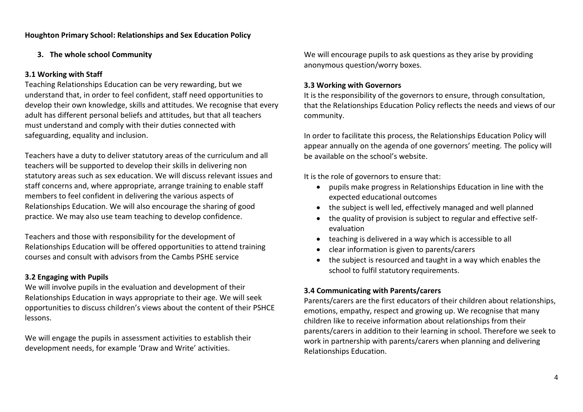# **3. The whole school Community**

# **3.1 Working with Staff**

Teaching Relationships Education can be very rewarding, but we understand that, in order to feel confident, staff need opportunities to develop their own knowledge, skills and attitudes. We recognise that every adult has different personal beliefs and attitudes, but that all teachers must understand and comply with their duties connected with safeguarding, equality and inclusion.

Teachers have a duty to deliver statutory areas of the curriculum and all teachers will be supported to develop their skills in delivering non statutory areas such as sex education. We will discuss relevant issues and staff concerns and, where appropriate, arrange training to enable staff members to feel confident in delivering the various aspects of Relationships Education. We will also encourage the sharing of good practice. We may also use team teaching to develop confidence.

Teachers and those with responsibility for the development of Relationships Education will be offered opportunities to attend training courses and consult with advisors from the Cambs PSHE service

# **3.2 Engaging with Pupils**

We will involve pupils in the evaluation and development of their Relationships Education in ways appropriate to their age. We will seek opportunities to discuss children's views about the content of their PSHCE lessons.

We will engage the pupils in assessment activities to establish their development needs, for example 'Draw and Write' activities.

We will encourage pupils to ask questions as they arise by providing anonymous question/worry boxes.

### **3.3 Working with Governors**

It is the responsibility of the governors to ensure, through consultation, that the Relationships Education Policy reflects the needs and views of our community.

In order to facilitate this process, the Relationships Education Policy will appear annually on the agenda of one governors' meeting. The policy will be available on the school's website.

It is the role of governors to ensure that:

- pupils make progress in Relationships Education in line with the expected educational outcomes
- the subject is well led, effectively managed and well planned
- the quality of provision is subject to regular and effective selfevaluation
- teaching is delivered in a way which is accessible to all
- clear information is given to parents/carers
- the subject is resourced and taught in a way which enables the school to fulfil statutory requirements.

# **3.4 Communicating with Parents/carers**

Parents/carers are the first educators of their children about relationships, emotions, empathy, respect and growing up. We recognise that many children like to receive information about relationships from their parents/carers in addition to their learning in school. Therefore we seek to work in partnership with parents/carers when planning and delivering Relationships Education.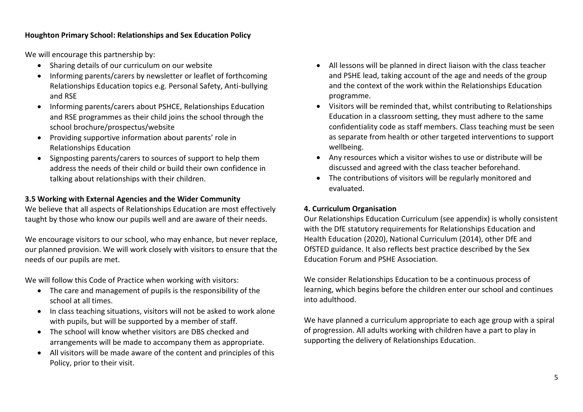We will encourage this partnership by:

- Sharing details of our curriculum on our website
- Informing parents/carers by newsletter or leaflet of forthcoming Relationships Education topics e.g. Personal Safety, Anti-bullying and RSE
- Informing parents/carers about PSHCE, Relationships Education and RSE programmes as their child joins the school through the school brochure/prospectus/website
- Providing supportive information about parents' role in Relationships Education
- Signposting parents/carers to sources of support to help them address the needs of their child or build their own confidence in talking about relationships with their children.

# **3.5 Working with External Agencies and the Wider Community**

We believe that all aspects of Relationships Education are most effectively taught by those who know our pupils well and are aware of their needs.

We encourage visitors to our school, who may enhance, but never replace, our planned provision. We will work closely with visitors to ensure that the needs of our pupils are met.

We will follow this Code of Practice when working with visitors:

- The care and management of pupils is the responsibility of the school at all times.
- In class teaching situations, visitors will not be asked to work alone with pupils, but will be supported by a member of staff.
- The school will know whether visitors are DBS checked and arrangements will be made to accompany them as appropriate.
- All visitors will be made aware of the content and principles of this Policy, prior to their visit.
- All lessons will be planned in direct liaison with the class teacher and PSHE lead, taking account of the age and needs of the group and the context of the work within the Relationships Education programme.
- Visitors will be reminded that, whilst contributing to Relationships Education in a classroom setting, they must adhere to the same confidentiality code as staff members. Class teaching must be seen as separate from health or other targeted interventions to support wellbeing.
- Any resources which a visitor wishes to use or distribute will be discussed and agreed with the class teacher beforehand.
- The contributions of visitors will be regularly monitored and evaluated.

# **4. Curriculum Organisation**

Our Relationships Education Curriculum (see appendix) is wholly consistent with the DfE statutory requirements for Relationships Education and Health Education (2020), National Curriculum (2014), other DfE and OfSTED guidance. It also reflects best practice described by the Sex Education Forum and PSHE Association.

We consider Relationships Education to be a continuous process of learning, which begins before the children enter our school and continues into adulthood.

We have planned a curriculum appropriate to each age group with a spiral of progression. All adults working with children have a part to play in supporting the delivery of Relationships Education.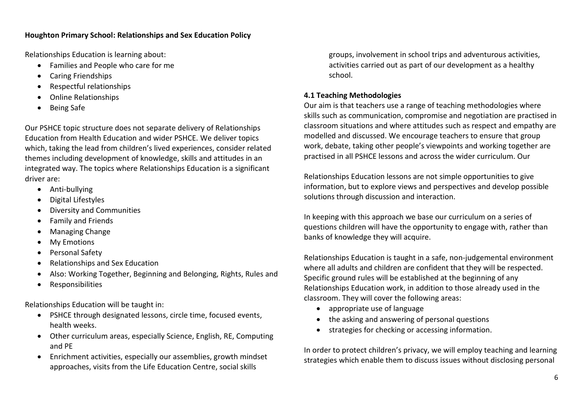Relationships Education is learning about:

- Families and People who care for me
- Caring Friendships
- Respectful relationships
- Online Relationships
- Being Safe

Our PSHCE topic structure does not separate delivery of Relationships Education from Health Education and wider PSHCE. We deliver topics which, taking the lead from children's lived experiences, consider related themes including development of knowledge, skills and attitudes in an integrated way. The topics where Relationships Education is a significant driver are:

- Anti-bullying
- Digital Lifestyles
- Diversity and Communities
- Family and Friends
- Managing Change
- My Emotions
- Personal Safety
- Relationships and Sex Education
- Also: Working Together, Beginning and Belonging, Rights, Rules and
- Responsibilities

Relationships Education will be taught in:

- PSHCE through designated lessons, circle time, focused events, health weeks.
- Other curriculum areas, especially Science, English, RE, Computing and PE
- Enrichment activities, especially our assemblies, growth mindset approaches, visits from the Life Education Centre, social skills

groups, involvement in school trips and adventurous activities, activities carried out as part of our development as a healthy school.

# **4.1 Teaching Methodologies**

Our aim is that teachers use a range of teaching methodologies where skills such as communication, compromise and negotiation are practised in classroom situations and where attitudes such as respect and empathy are modelled and discussed. We encourage teachers to ensure that group work, debate, taking other people's viewpoints and working together are practised in all PSHCE lessons and across the wider curriculum. Our

Relationships Education lessons are not simple opportunities to give information, but to explore views and perspectives and develop possible solutions through discussion and interaction.

In keeping with this approach we base our curriculum on a series of questions children will have the opportunity to engage with, rather than banks of knowledge they will acquire.

Relationships Education is taught in a safe, non-judgemental environment where all adults and children are confident that they will be respected. Specific ground rules will be established at the beginning of any Relationships Education work, in addition to those already used in the classroom. They will cover the following areas:

- appropriate use of language
- the asking and answering of personal questions
- strategies for checking or accessing information.

In order to protect children's privacy, we will employ teaching and learning strategies which enable them to discuss issues without disclosing personal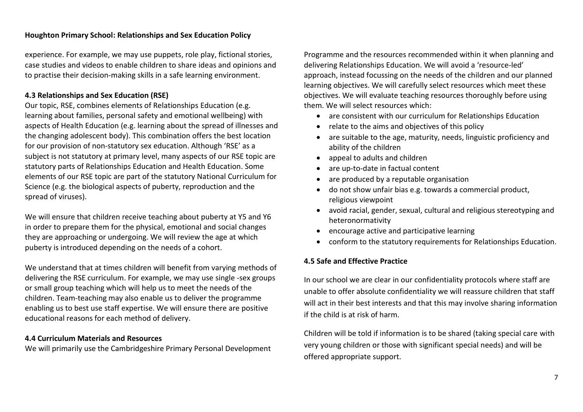experience. For example, we may use puppets, role play, fictional stories, case studies and videos to enable children to share ideas and opinions and to practise their decision-making skills in a safe learning environment.

### **4.3 Relationships and Sex Education (RSE)**

Our topic, RSE, combines elements of Relationships Education (e.g. learning about families, personal safety and emotional wellbeing) with aspects of Health Education (e.g. learning about the spread of illnesses and the changing adolescent body). This combination offers the best location for our provision of non-statutory sex education. Although 'RSE' as a subject is not statutory at primary level, many aspects of our RSE topic are statutory parts of Relationships Education and Health Education. Some elements of our RSE topic are part of the statutory National Curriculum for Science (e.g. the biological aspects of puberty, reproduction and the spread of viruses).

We will ensure that children receive teaching about puberty at Y5 and Y6 in order to prepare them for the physical, emotional and social changes they are approaching or undergoing. We will review the age at which puberty is introduced depending on the needs of a cohort.

We understand that at times children will benefit from varying methods of delivering the RSE curriculum. For example, we may use single -sex groups or small group teaching which will help us to meet the needs of the children. Team-teaching may also enable us to deliver the programme enabling us to best use staff expertise. We will ensure there are positive educational reasons for each method of delivery.

#### **4.4 Curriculum Materials and Resources**

We will primarily use the Cambridgeshire Primary Personal Development

Programme and the resources recommended within it when planning and delivering Relationships Education. We will avoid a 'resource-led' approach, instead focussing on the needs of the children and our planned learning objectives. We will carefully select resources which meet these objectives. We will evaluate teaching resources thoroughly before using them. We will select resources which:

- are consistent with our curriculum for Relationships Education
- relate to the aims and objectives of this policy
- are suitable to the age, maturity, needs, linguistic proficiency and ability of the children
- appeal to adults and children
- are up-to-date in factual content
- are produced by a reputable organisation
- do not show unfair bias e.g. towards a commercial product, religious viewpoint
- avoid racial, gender, sexual, cultural and religious stereotyping and heteronormativity
- encourage active and participative learning
- conform to the statutory requirements for Relationships Education.

# **4.5 Safe and Effective Practice**

In our school we are clear in our confidentiality protocols where staff are unable to offer absolute confidentiality we will reassure children that staff will act in their best interests and that this may involve sharing information if the child is at risk of harm.

Children will be told if information is to be shared (taking special care with very young children or those with significant special needs) and will be offered appropriate support.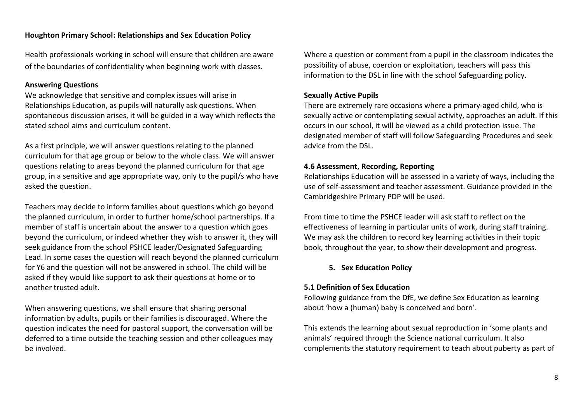Health professionals working in school will ensure that children are aware of the boundaries of confidentiality when beginning work with classes.

### **Answering Questions**

We acknowledge that sensitive and complex issues will arise in Relationships Education, as pupils will naturally ask questions. When spontaneous discussion arises, it will be guided in a way which reflects the stated school aims and curriculum content.

As a first principle, we will answer questions relating to the planned curriculum for that age group or below to the whole class. We will answer questions relating to areas beyond the planned curriculum for that age group, in a sensitive and age appropriate way, only to the pupil/s who have asked the question.

Teachers may decide to inform families about questions which go beyond the planned curriculum, in order to further home/school partnerships. If a member of staff is uncertain about the answer to a question which goes beyond the curriculum, or indeed whether they wish to answer it, they will seek guidance from the school PSHCE leader/Designated Safeguarding Lead. In some cases the question will reach beyond the planned curriculum for Y6 and the question will not be answered in school. The child will be asked if they would like support to ask their questions at home or to another trusted adult.

When answering questions, we shall ensure that sharing personal information by adults, pupils or their families is discouraged. Where the question indicates the need for pastoral support, the conversation will be deferred to a time outside the teaching session and other colleagues may be involved.

Where a question or comment from a pupil in the classroom indicates the possibility of abuse, coercion or exploitation, teachers will pass this information to the DSL in line with the school Safeguarding policy.

#### **Sexually Active Pupils**

There are extremely rare occasions where a primary-aged child, who is sexually active or contemplating sexual activity, approaches an adult. If this occurs in our school, it will be viewed as a child protection issue. The designated member of staff will follow Safeguarding Procedures and seek advice from the DSL.

#### **4.6 Assessment, Recording, Reporting**

Relationships Education will be assessed in a variety of ways, including the use of self-assessment and teacher assessment. Guidance provided in the Cambridgeshire Primary PDP will be used.

From time to time the PSHCE leader will ask staff to reflect on the effectiveness of learning in particular units of work, during staff training. We may ask the children to record key learning activities in their topic book, throughout the year, to show their development and progress.

### **5. Sex Education Policy**

#### **5.1 Definition of Sex Education**

Following guidance from the DfE, we define Sex Education as learning about 'how a (human) baby is conceived and born'.

This extends the learning about sexual reproduction in 'some plants and animals' required through the Science national curriculum. It also complements the statutory requirement to teach about puberty as part of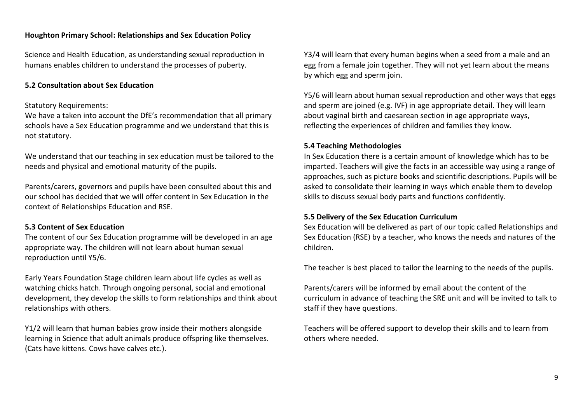Science and Health Education, as understanding sexual reproduction in humans enables children to understand the processes of puberty.

### **5.2 Consultation about Sex Education**

#### Statutory Requirements:

We have a taken into account the DfE's recommendation that all primary schools have a Sex Education programme and we understand that this is not statutory.

We understand that our teaching in sex education must be tailored to the needs and physical and emotional maturity of the pupils.

Parents/carers, governors and pupils have been consulted about this and our school has decided that we will offer content in Sex Education in the context of Relationships Education and RSE.

### **5.3 Content of Sex Education**

The content of our Sex Education programme will be developed in an age appropriate way. The children will not learn about human sexual reproduction until Y5/6.

Early Years Foundation Stage children learn about life cycles as well as watching chicks hatch. Through ongoing personal, social and emotional development, they develop the skills to form relationships and think about relationships with others.

Y1/2 will learn that human babies grow inside their mothers alongside learning in Science that adult animals produce offspring like themselves. (Cats have kittens. Cows have calves etc.).

Y3/4 will learn that every human begins when a seed from a male and an egg from a female join together. They will not yet learn about the means by which egg and sperm join.

Y5/6 will learn about human sexual reproduction and other ways that eggs and sperm are joined (e.g. IVF) in age appropriate detail. They will learn about vaginal birth and caesarean section in age appropriate ways, reflecting the experiences of children and families they know.

#### **5.4 Teaching Methodologies**

In Sex Education there is a certain amount of knowledge which has to be imparted. Teachers will give the facts in an accessible way using a range of approaches, such as picture books and scientific descriptions. Pupils will be asked to consolidate their learning in ways which enable them to develop skills to discuss sexual body parts and functions confidently.

#### **5.5 Delivery of the Sex Education Curriculum**

Sex Education will be delivered as part of our topic called Relationships and Sex Education (RSE) by a teacher, who knows the needs and natures of the children.

The teacher is best placed to tailor the learning to the needs of the pupils.

Parents/carers will be informed by email about the content of the curriculum in advance of teaching the SRE unit and will be invited to talk to staff if they have questions.

Teachers will be offered support to develop their skills and to learn from others where needed.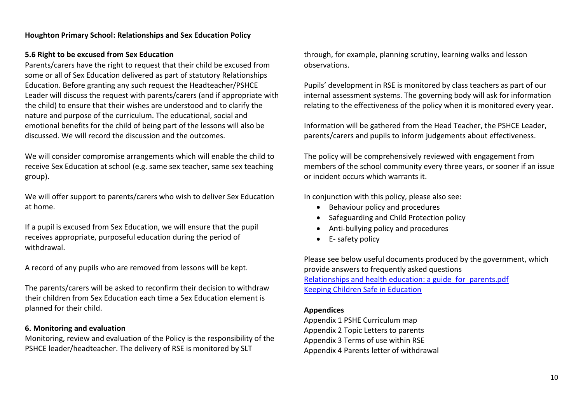# **5.6 Right to be excused from Sex Education**

Parents/carers have the right to request that their child be excused from some or all of Sex Education delivered as part of statutory Relationships Education. Before granting any such request the Headteacher/PSHCE Leader will discuss the request with parents/carers (and if appropriate with the child) to ensure that their wishes are understood and to clarify the nature and purpose of the curriculum. The educational, social and emotional benefits for the child of being part of the lessons will also be discussed. We will record the discussion and the outcomes.

We will consider compromise arrangements which will enable the child to receive Sex Education at school (e.g. same sex teacher, same sex teaching group).

We will offer support to parents/carers who wish to deliver Sex Education at home.

If a pupil is excused from Sex Education, we will ensure that the pupil receives appropriate, purposeful education during the period of withdrawal.

A record of any pupils who are removed from lessons will be kept.

The parents/carers will be asked to reconfirm their decision to withdraw their children from Sex Education each time a Sex Education element is planned for their child.

# **6. Monitoring and evaluation**

Monitoring, review and evaluation of the Policy is the responsibility of the PSHCE leader/headteacher. The delivery of RSE is monitored by SLT

through, for example, planning scrutiny, learning walks and lesson observations.

Pupils' development in RSE is monitored by class teachers as part of our internal assessment systems. The governing body will ask for information relating to the effectiveness of the policy when it is monitored every year.

Information will be gathered from the Head Teacher, the PSHCE Leader, parents/carers and pupils to inform judgements about effectiveness.

The policy will be comprehensively reviewed with engagement from members of the school community every three years, or sooner if an issue or incident occurs which warrants it.

In conjunction with this policy, please also see:

- Behaviour policy and procedures
- Safeguarding and Child Protection policy
- Anti-bullying policy and procedures
- E- safety policy

Please see below useful documents produced by the government, which provide answers to frequently asked questions [Relationships and health education: a guide\\_for\\_parents.pdf](https://assets.publishing.service.gov.uk/government/uploads/system/uploads/attachment_data/file/907638/RSE_primary_schools_guide_for_parents.pdf) [Keeping Children Safe in Education](https://assets.publishing.service.gov.uk/government/uploads/system/uploads/attachment_data/file/999348/Keeping_children_safe_in_education_2021.pdf)

# **Appendices**

Appendix 1 PSHE Curriculum map Appendix 2 Topic Letters to parents Appendix 3 Terms of use within RSE Appendix 4 Parents letter of withdrawal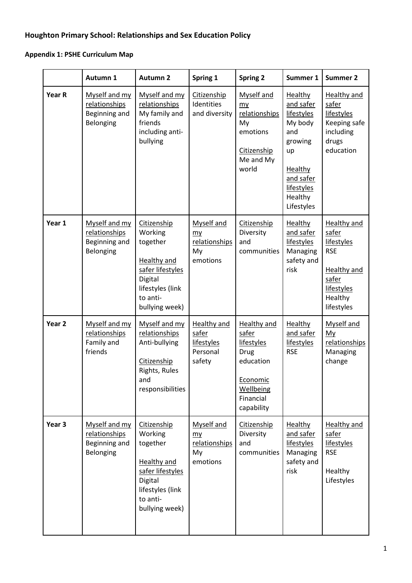# **Appendix 1: PSHE Curriculum Map**

|                   | Autumn 1                                                     | <b>Autumn 2</b>                                                                                                                           | Spring 1                                                        | <b>Spring 2</b>                                                                                                           | Summer 1                                                                                                                                           | <b>Summer 2</b>                                                                                                               |
|-------------------|--------------------------------------------------------------|-------------------------------------------------------------------------------------------------------------------------------------------|-----------------------------------------------------------------|---------------------------------------------------------------------------------------------------------------------------|----------------------------------------------------------------------------------------------------------------------------------------------------|-------------------------------------------------------------------------------------------------------------------------------|
| Year R            | Myself and my<br>relationships<br>Beginning and<br>Belonging | Myself and my<br>relationships<br>My family and<br>friends<br>including anti-<br>bullying                                                 | Citizenship<br>Identities<br>and diversity                      | Myself and<br>my<br>relationships<br>My<br>emotions<br>Citizenship<br>Me and My<br>world                                  | <b>Healthy</b><br>and safer<br>lifestyles<br>My body<br>and<br>growing<br>up<br><b>Healthy</b><br>and safer<br>lifestyles<br>Healthy<br>Lifestyles | <b>Healthy and</b><br>safer<br>lifestyles<br>Keeping safe<br>including<br>drugs<br>education                                  |
| Year 1            | Myself and my<br>relationships<br>Beginning and<br>Belonging | Citizenship<br>Working<br>together<br><b>Healthy and</b><br>safer lifestyles<br>Digital<br>lifestyles (link<br>to anti-<br>bullying week) | <b>Myself and</b><br>my<br>relationships<br>My<br>emotions      | Citizenship<br>Diversity<br>and<br>communities                                                                            | <b>Healthy</b><br>and safer<br>lifestyles<br>Managing<br>safety and<br>risk                                                                        | <b>Healthy and</b><br>safer<br>lifestyles<br><b>RSE</b><br><b>Healthy and</b><br>safer<br>lifestyles<br>Healthy<br>lifestyles |
| Year <sub>2</sub> | Myself and my<br>relationships<br>Family and<br>friends      | Myself and my<br>relationships<br>Anti-bullying<br>Citizenship<br>Rights, Rules<br>and<br>responsibilities                                | <b>Healthy and</b><br>safer<br>lifestyles<br>Personal<br>safety | <b>Healthy and</b><br>safer<br>lifestyles<br><b>Drug</b><br>education<br>Economic<br>Wellbeing<br>Financial<br>capability | <b>Healthy</b><br>and safer<br><b>lifestyles</b><br><b>RSE</b>                                                                                     | Myself and<br>My<br>relationships<br>Managing<br>change                                                                       |
| Year <sub>3</sub> | Myself and my<br>relationships<br>Beginning and<br>Belonging | Citizenship<br>Working<br>together<br>Healthy and<br>safer lifestyles<br>Digital<br>lifestyles (link<br>to anti-<br>bullying week)        | Myself and<br>my<br>relationships<br>My<br>emotions             | Citizenship<br>Diversity<br>and<br>communities                                                                            | Healthy<br>and safer<br>lifestyles<br>Managing<br>safety and<br>risk                                                                               | Healthy and<br>safer<br>lifestyles<br><b>RSE</b><br>Healthy<br>Lifestyles                                                     |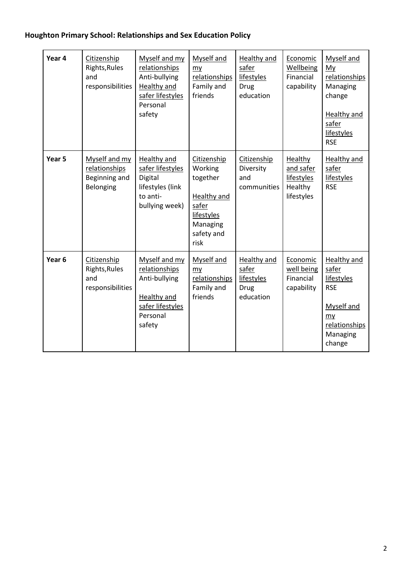| Year 4            | Citizenship<br>Rights, Rules<br>and<br>responsibilities      | Myself and my<br>relationships<br>Anti-bullying<br><b>Healthy and</b><br>safer lifestyles<br>Personal<br>safety | Myself and<br>my<br>relationships<br>Family and<br>friends                                                        | Healthy and<br>safer<br>lifestyles<br><b>Drug</b><br>education | Economic<br>Wellbeing<br>Financial<br>capability            | Myself and<br>My<br>relationships<br>Managing<br>change<br><b>Healthy and</b><br>safer<br>lifestyles<br><b>RSE</b> |
|-------------------|--------------------------------------------------------------|-----------------------------------------------------------------------------------------------------------------|-------------------------------------------------------------------------------------------------------------------|----------------------------------------------------------------|-------------------------------------------------------------|--------------------------------------------------------------------------------------------------------------------|
| Year 5            | Myself and my<br>relationships<br>Beginning and<br>Belonging | Healthy and<br>safer lifestyles<br>Digital<br>lifestyles (link<br>to anti-<br>bullying week)                    | Citizenship<br>Working<br>together<br><b>Healthy and</b><br>safer<br>lifestyles<br>Managing<br>safety and<br>risk | Citizenship<br>Diversity<br>and<br>communities                 | Healthy<br>and safer<br>lifestyles<br>Healthy<br>lifestyles | Healthy and<br>safer<br>lifestyles<br><b>RSE</b>                                                                   |
| Year <sub>6</sub> | Citizenship<br>Rights, Rules<br>and<br>responsibilities      | Myself and my<br>relationships<br>Anti-bullying<br><b>Healthy and</b><br>safer lifestyles<br>Personal<br>safety | Myself and<br>my<br>relationships<br>Family and<br>friends                                                        | Healthy and<br>safer<br>lifestyles<br><b>Drug</b><br>education | Economic<br>well being<br>Financial<br>capability           | <b>Healthy and</b><br>safer<br>lifestyles<br><b>RSE</b><br>Myself and<br>my<br>relationships<br>Managing<br>change |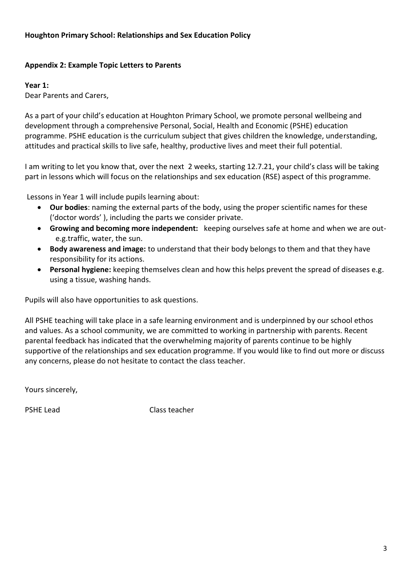# **Appendix 2: Example Topic Letters to Parents**

# **Year 1:**

Dear Parents and Carers,

As a part of your child's education at Houghton Primary School, we promote personal wellbeing and development through a comprehensive Personal, Social, Health and Economic (PSHE) education programme. PSHE education is the curriculum subject that gives children the knowledge, understanding, attitudes and practical skills to live safe, healthy, productive lives and meet their full potential.

I am writing to let you know that, over the next 2 weeks, starting 12.7.21, your child's class will be taking part in lessons which will focus on the relationships and sex education (RSE) aspect of this programme.

Lessons in Year 1 will include pupils learning about:

- **Our bodies**: naming the external parts of the body, using the proper scientific names for these ('doctor words' ), including the parts we consider private.
- **Growing and becoming more independent:** keeping ourselves safe at home and when we are oute.g.traffic, water, the sun.
- **Body awareness and image:** to understand that their body belongs to them and that they have responsibility for its actions.
- **Personal hygiene:** keeping themselves clean and how this helps prevent the spread of diseases e.g. using a tissue, washing hands.

Pupils will also have opportunities to ask questions.

All PSHE teaching will take place in a safe learning environment and is underpinned by our school ethos and values. As a school community, we are committed to working in partnership with parents. Recent parental feedback has indicated that the overwhelming majority of parents continue to be highly supportive of the relationships and sex education programme. If you would like to find out more or discuss any concerns, please do not hesitate to contact the class teacher.

Yours sincerely,

PSHE Lead Class teacher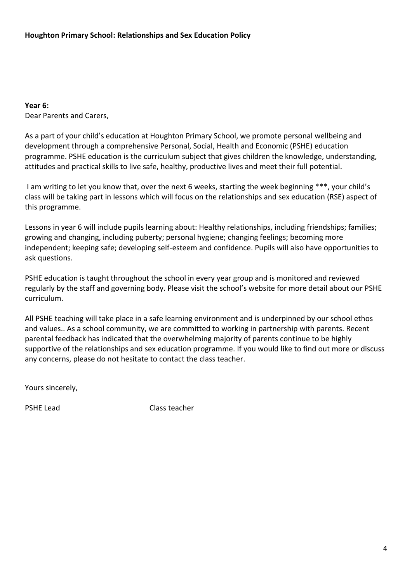**Year 6:** Dear Parents and Carers,

As a part of your child's education at Houghton Primary School, we promote personal wellbeing and development through a comprehensive Personal, Social, Health and Economic (PSHE) education programme. PSHE education is the curriculum subject that gives children the knowledge, understanding, attitudes and practical skills to live safe, healthy, productive lives and meet their full potential.

I am writing to let you know that, over the next 6 weeks, starting the week beginning \*\*\*, your child's class will be taking part in lessons which will focus on the relationships and sex education (RSE) aspect of this programme.

Lessons in year 6 will include pupils learning about: Healthy relationships, including friendships; families; growing and changing, including puberty; personal hygiene; changing feelings; becoming more independent; keeping safe; developing self-esteem and confidence. Pupils will also have opportunities to ask questions.

PSHE education is taught throughout the school in every year group and is monitored and reviewed regularly by the staff and governing body. Please visit the school's website for more detail about our PSHE curriculum.

All PSHE teaching will take place in a safe learning environment and is underpinned by our school ethos and values.. As a school community, we are committed to working in partnership with parents. Recent parental feedback has indicated that the overwhelming majority of parents continue to be highly supportive of the relationships and sex education programme. If you would like to find out more or discuss any concerns, please do not hesitate to contact the class teacher.

Yours sincerely,

PSHE Lead Class teacher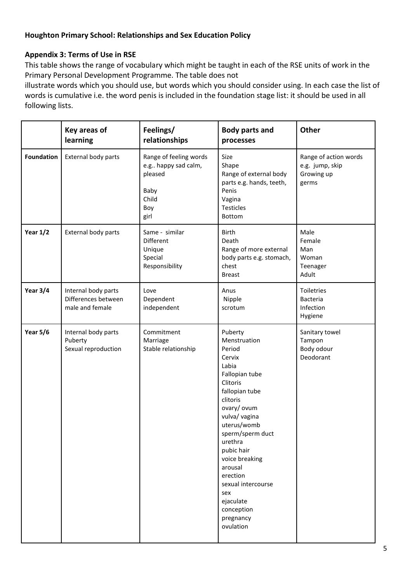# **Appendix 3: Terms of Use in RSE**

This table shows the range of vocabulary which might be taught in each of the RSE units of work in the Primary Personal Development Programme. The table does not

illustrate words which you should use, but words which you should consider using. In each case the list of words is cumulative i.e. the word penis is included in the foundation stage list: it should be used in all following lists.

|                   | Key areas of<br>learning                                      | Feelings/<br>relationships                                                               | <b>Body parts and</b><br>processes                                                                                                                                                                                                                                                                                                      | Other                                                           |
|-------------------|---------------------------------------------------------------|------------------------------------------------------------------------------------------|-----------------------------------------------------------------------------------------------------------------------------------------------------------------------------------------------------------------------------------------------------------------------------------------------------------------------------------------|-----------------------------------------------------------------|
| <b>Foundation</b> | External body parts                                           | Range of feeling words<br>e.g happy sad calm,<br>pleased<br>Baby<br>Child<br>Boy<br>girl | Size<br>Shape<br>Range of external body<br>parts e.g. hands, teeth,<br>Penis<br>Vagina<br><b>Testicles</b><br>Bottom                                                                                                                                                                                                                    | Range of action words<br>e.g. jump, skip<br>Growing up<br>germs |
| Year $1/2$        | External body parts                                           | Same - similar<br>Different<br>Unique<br>Special<br>Responsibility                       | Birth<br>Death<br>Range of more external<br>body parts e.g. stomach,<br>chest<br><b>Breast</b>                                                                                                                                                                                                                                          | Male<br>Female<br>Man<br>Woman<br>Teenager<br>Adult             |
| Year $3/4$        | Internal body parts<br>Differences between<br>male and female | Love<br>Dependent<br>independent                                                         | Anus<br>Nipple<br>scrotum                                                                                                                                                                                                                                                                                                               | Toiletries<br>Bacteria<br>Infection<br>Hygiene                  |
| <b>Year 5/6</b>   | Internal body parts<br>Puberty<br>Sexual reproduction         | Commitment<br>Marriage<br>Stable relationship                                            | Puberty<br>Menstruation<br>Period<br>Cervix<br>Labia<br>Fallopian tube<br>Clitoris<br>fallopian tube<br>clitoris<br>ovary/ ovum<br>vulva/ vagina<br>uterus/womb<br>sperm/sperm duct<br>urethra<br>pubic hair<br>voice breaking<br>arousal<br>erection<br>sexual intercourse<br>sex<br>ejaculate<br>conception<br>pregnancy<br>ovulation | Sanitary towel<br>Tampon<br>Body odour<br>Deodorant             |